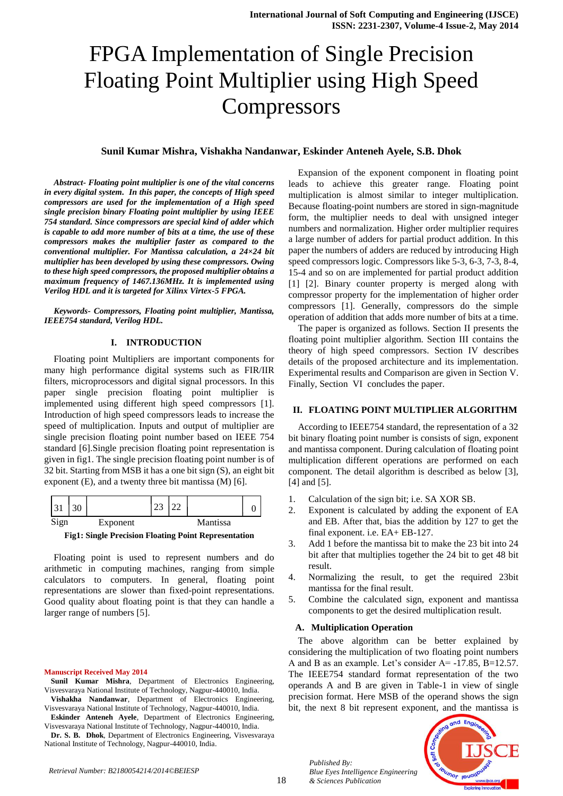# FPGA Implementation of Single Precision Floating Point Multiplier using High Speed **Compressors**

#### **Sunil Kumar Mishra, Vishakha Nandanwar, Eskinder Anteneh Ayele, S.B. Dhok**

*Abstract- Floating point multiplier is one of the vital concerns in every digital system. In this paper, the concepts of High speed compressors are used for the implementation of a High speed single precision binary Floating point multiplier by using IEEE 754 standard. Since compressors are special kind of adder which is capable to add more number of bits at a time, the use of these compressors makes the multiplier faster as compared to the conventional multiplier. For Mantissa calculation, a 24×24 bit multiplier has been developed by using these compressors. Owing to these high speed compressors, the proposed multiplier obtains a maximum frequency of 1467.136MHz. It is implemented using Verilog HDL and it is targeted for Xilinx Virtex-5 FPGA.*

*Keywords- Compressors, Floating point multiplier, Mantissa, IEEE754 standard, Verilog HDL.*

#### **I. INTRODUCTION**

Floating point Multipliers are important components for many high performance digital systems such as FIR/IIR filters, microprocessors and digital signal processors. In this paper single precision floating point multiplier is implemented using different high speed compressors [1]. Introduction of high speed compressors leads to increase the speed of multiplication. Inputs and output of multiplier are single precision floating point number based on IEEE 754 standard [6].Single precision floating point representation is given in fig1. The single precision floating point number is of 32 bit. Starting from MSB it has a one bit sign (S), an eight bit exponent (E), and a twenty three bit mantissa (M) [6].



**Fig1: Single Precision Floating Point Representation**

Floating point is used to represent numbers and do arithmetic in computing machines, ranging from simple calculators to computers. In general, floating point representations are slower than fixed-point representations. Good quality about floating point is that they can handle a larger range of numbers [5].

#### **Manuscript Received May 2014**

**Sunil Kumar Mishra**, Department of Electronics Engineering, Visvesvaraya National Institute of Technology, Nagpur-440010, India. **Vishakha Nandanwar**, Department of Electronics Engineering,

Visvesvaraya National Institute of Technology, Nagpur-440010, India. **Eskinder Anteneh Ayele**, Department of Electronics Engineering,

Visvesvaraya National Institute of Technology, Nagpur-440010, India. **Dr. S. B. Dhok**, Department of Electronics Engineering, Visvesvaraya

National Institute of Technology, Nagpur-440010, India.

Expansion of the exponent component in floating point leads to achieve this greater range. Floating point multiplication is almost similar to integer multiplication. Because floating-point numbers are stored in sign-magnitude form, the multiplier needs to deal with unsigned integer numbers and normalization. Higher order multiplier requires a large number of adders for partial product addition. In this paper the numbers of adders are reduced by introducing High speed compressors logic. Compressors like 5-3, 6-3, 7-3, 8-4, 15-4 and so on are implemented for partial product addition [1] [2]. Binary counter property is merged along with compressor property for the implementation of higher order compressors [1]. Generally, compressors do the simple operation of addition that adds more number of bits at a time.

The paper is organized as follows. Section II presents the floating point multiplier algorithm. Section III contains the theory of high speed compressors. Section IV describes details of the proposed architecture and its implementation. Experimental results and Comparison are given in Section V. Finally, Section VI concludes the paper.

## **II. FLOATING POINT MULTIPLIER ALGORITHM**

According to IEEE754 standard, the representation of a 32 bit binary floating point number is consists of sign, exponent and mantissa component. During calculation of floating point multiplication different operations are performed on each component. The detail algorithm is described as below [3], [4] and [5].

- 1. Calculation of the sign bit; i.e. SA XOR SB.
- 2. Exponent is calculated by adding the exponent of EA and EB. After that, bias the addition by 127 to get the final exponent. i.e. EA+ EB-127.
- 3. Add 1 before the mantissa bit to make the 23 bit into 24 bit after that multiplies together the 24 bit to get 48 bit result.
- 4. Normalizing the result, to get the required 23bit mantissa for the final result.
- 5. Combine the calculated sign, exponent and mantissa components to get the desired multiplication result.

#### **A. Multiplication Operation**

*Published By:*

*& Sciences Publication* 

*Blue Eyes Intelligence Engineering* 

The above algorithm can be better explained by considering the multiplication of two floating point numbers A and B as an example. Let's consider A= -17.85, B=12.57. The IEEE754 standard format representation of the two operands A and B are given in Table-1 in view of single precision format. Here MSB of the operand shows the sign bit, the next 8 bit represent exponent, and the mantissa is



*Retrieval Number: B2180054214/2014©BEIESP*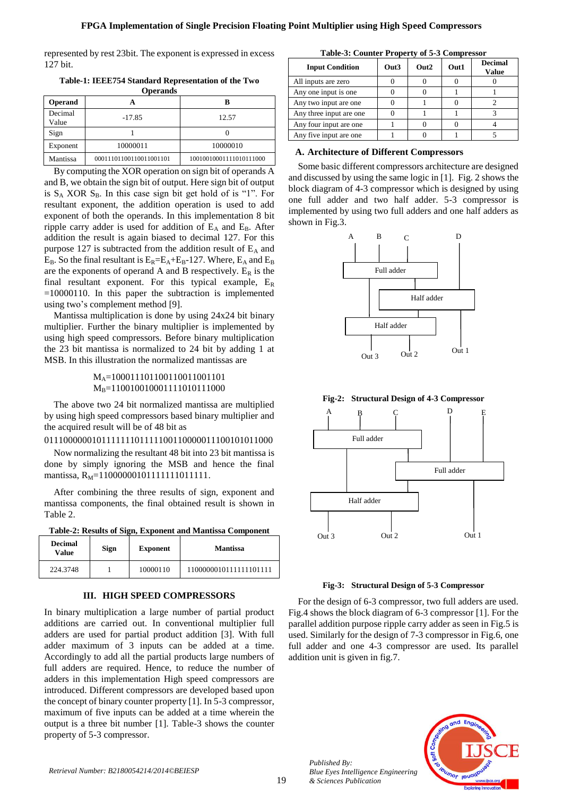represented by rest 23bit. The exponent is expressed in excess 127 bit.

**Table-1: IEEE754 Standard Representation of the Two Operands**

| <b>Operand</b>   |                         | B                       |
|------------------|-------------------------|-------------------------|
| Decimal<br>Value | $-17.85$                | 12.57                   |
| Sign             |                         |                         |
| Exponent         | 10000011                | 10000010                |
| Mantissa         | 00011101100110011001101 | 10010010001111010111000 |

By computing the XOR operation on sign bit of operands A and B, we obtain the sign bit of output. Here sign bit of output is  $S_A$  XOR  $S_B$ . In this case sign bit get hold of is "1". For resultant exponent, the addition operation is used to add exponent of both the operands. In this implementation 8 bit ripple carry adder is used for addition of  $E_A$  and  $E_B$ . After addition the result is again biased to decimal 127. For this purpose 127 is subtracted from the addition result of  $E_A$  and  $E_B$ . So the final resultant is  $E_R = E_A + E_B - 127$ . Where,  $E_A$  and  $E_B$ are the exponents of operand A and B respectively.  $E_R$  is the final resultant exponent. For this typical example,  $E_R$  $=10000110$ . In this paper the subtraction is implemented using two's complement method [9].

Mantissa multiplication is done by using 24x24 bit binary multiplier. Further the binary multiplier is implemented by using high speed compressors. Before binary multiplication the 23 bit mantissa is normalized to 24 bit by adding 1 at MSB. In this illustration the normalized mantissas are

> M<sub>A</sub>=10001110110011001101101 M<sub>B</sub>=110010010001111010111000

The above two 24 bit normalized mantissa are multiplied by using high speed compressors based binary multiplier and the acquired result will be of 48 bit as

011100000010111111101111100110000011100101011000

Now normalizing the resultant 48 bit into 23 bit mantissa is done by simply ignoring the MSB and hence the final mantissa, R<sub>M</sub>=11000000101111111011111.

After combining the three results of sign, exponent and mantissa components, the final obtained result is shown in Table 2.

**Table-2: Results of Sign, Exponent and Mantissa Component**

| <b>Decimal</b><br>Value | Sign | <b>Exponent</b> | <b>Mantissa</b>        |
|-------------------------|------|-----------------|------------------------|
| 224.3748                |      | 10000110        | 1100000010111111101111 |
|                         |      |                 |                        |

## **III. HIGH SPEED COMPRESSORS**

In binary multiplication a large number of partial product additions are carried out. In conventional multiplier full adders are used for partial product addition [3]. With full adder maximum of 3 inputs can be added at a time. Accordingly to add all the partial products large numbers of full adders are required. Hence, to reduce the number of adders in this implementation High speed compressors are introduced. Different compressors are developed based upon the concept of binary counter property [1]. In 5-3 compressor, maximum of five inputs can be added at a time wherein the output is a three bit number [1]. Table-3 shows the counter property of 5-3 compressor.

| Table-3: Counter Property of 5-3 Compressor |                  |                  |      |                         |
|---------------------------------------------|------------------|------------------|------|-------------------------|
| <b>Input Condition</b>                      | Out <sub>3</sub> | Out <sub>2</sub> | Out1 | <b>Decimal</b><br>Value |
| All inputs are zero                         |                  |                  |      |                         |
| Any one input is one                        |                  |                  |      |                         |
| Any two input are one                       |                  |                  |      |                         |
| Any three input are one                     |                  |                  |      |                         |
| Any four input are one                      |                  |                  |      |                         |
| Any five input are one                      |                  |                  |      |                         |

## **A. Architecture of Different Compressors**

Some basic different compressors architecture are designed and discussed by using the same logic in [1]. Fig. 2 shows the block diagram of 4-3 compressor which is designed by using one full adder and two half adder. 5-3 compressor is implemented by using two full adders and one half adders as shown in Fig.3.



**Fig-2: Structural Design of 4-3 Compressor**



**Fig-3: Structural Design of 5-3 Compressor**

For the design of 6-3 compressor, two full adders are used. Fig.4 shows the block diagram of 6-3 compressor [1]. For the parallel addition purpose ripple carry adder as seen in Fig.5 is used. Similarly for the design of 7-3 compressor in Fig.6, one full adder and one 4-3 compressor are used. Its parallel addition unit is given in fig.7.

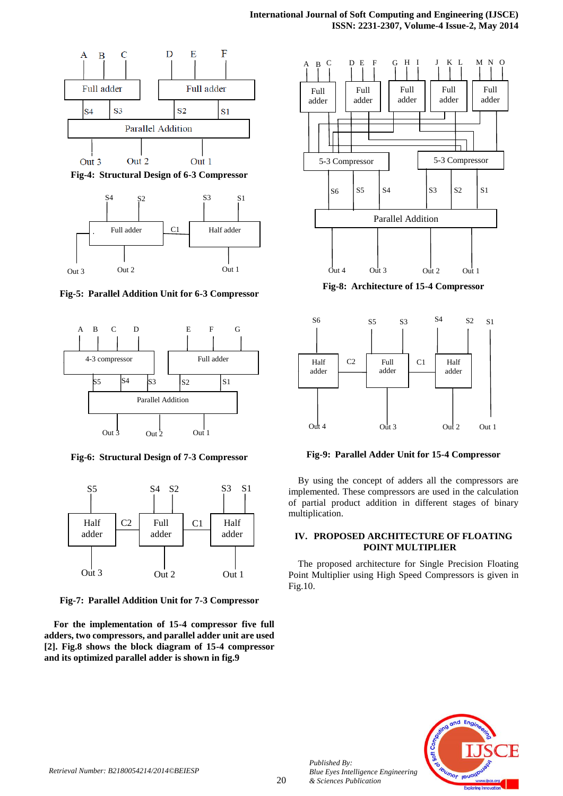

**Fig-4: Structural Design of 6-3 Compressor**



**Fig-5: Parallel Addition Unit for 6-3 Compressor**



**Fig-6: Structural Design of 7-3 Compressor**



**Fig-7: Parallel Addition Unit for 7-3 Compressor**

**For the implementation of 15-4 compressor five full adders, two compressors, and parallel adder unit are used [2]. Fig.8 shows the block diagram of 15-4 compressor and its optimized parallel adder is shown in fig.9**



**Fig-8: Architecture of 15-4 Compressor**



**Fig-9: Parallel Adder Unit for 15-4 Compressor**

By using the concept of adders all the compressors are implemented. These compressors are used in the calculation of partial product addition in different stages of binary multiplication.

## **IV. PROPOSED ARCHITECTURE OF FLOATING POINT MULTIPLIER**

The proposed architecture for Single Precision Floating Point Multiplier using High Speed Compressors is given in Fig.10.



*Published By:*

*& Sciences Publication*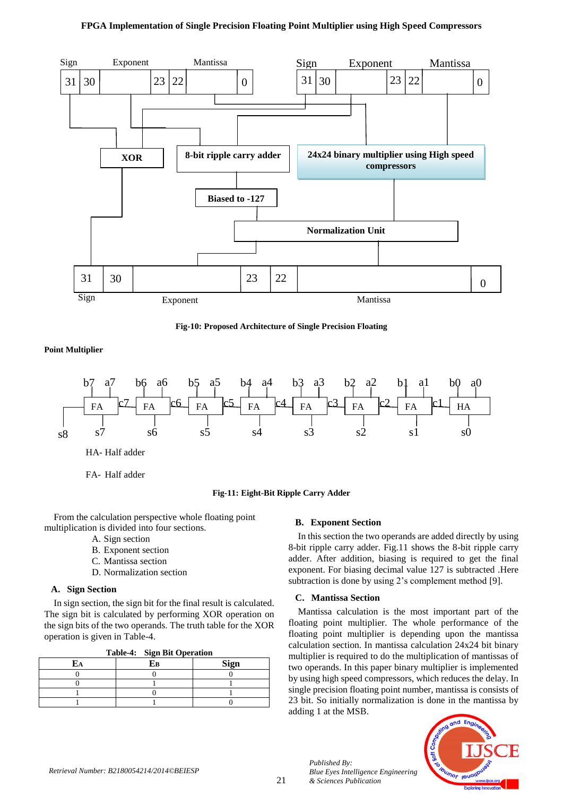## **FPGA Implementation of Single Precision Floating Point Multiplier using High Speed Compressors**



**Fig-10: Proposed Architecture of Single Precision Floating**

**Point Multiplier**



FA- Half adder

## **Fig-11: Eight-Bit Ripple Carry Adder**

From the calculation perspective whole floating point multiplication is divided into four sections.

- A. Sign section
- B. Exponent section
- C. Mantissa section
- D. Normalization section

#### **A. Sign Section**

In sign section, the sign bit for the final result is calculated. The sign bit is calculated by performing XOR operation on the sign bits of the two operands. The truth table for the XOR operation is given in Table-4.

|    | Table-4: Sign Bit Operation |      |
|----|-----------------------------|------|
| EA | Eв                          | Sign |
|    |                             |      |
|    |                             |      |

1 0 1 1 0

#### **B. Exponent Section**

In this section the two operands are added directly by using 8-bit ripple carry adder. Fig.11 shows the 8-bit ripple carry adder. After addition, biasing is required to get the final exponent. For biasing decimal value 127 is subtracted .Here subtraction is done by using 2's complement method [9].

## **C. Mantissa Section**

*Published By:*

*& Sciences Publication* 

*Blue Eyes Intelligence Engineering* 

Mantissa calculation is the most important part of the floating point multiplier. The whole performance of the floating point multiplier is depending upon the mantissa calculation section. In mantissa calculation 24x24 bit binary multiplier is required to do the multiplication of mantissas of two operands. In this paper binary multiplier is implemented by using high speed compressors, which reduces the delay. In single precision floating point number, mantissa is consists of 23 bit. So initially normalization is done in the mantissa by adding 1 at the MSB.

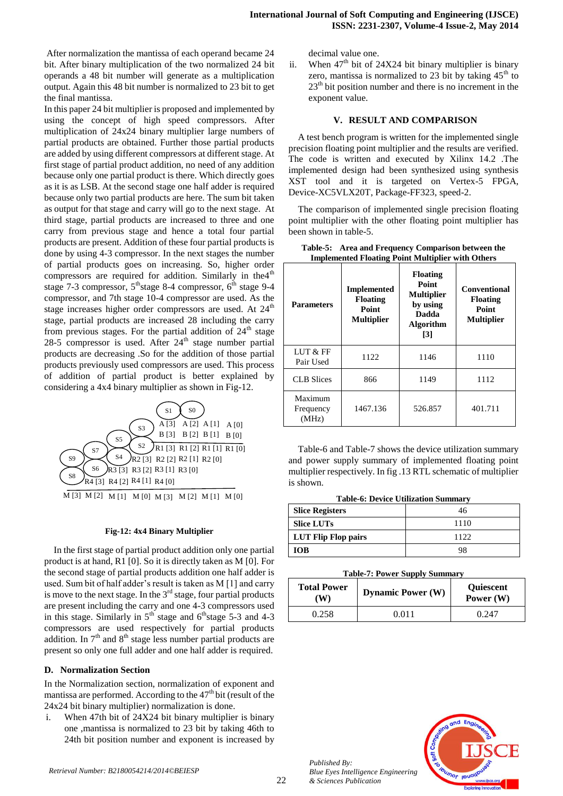After normalization the mantissa of each operand became 24 bit. After binary multiplication of the two normalized 24 bit operands a 48 bit number will generate as a multiplication output. Again this 48 bit number is normalized to 23 bit to get the final mantissa.

In this paper 24 bit multiplier is proposed and implemented by using the concept of high speed compressors. After multiplication of 24x24 binary multiplier large numbers of partial products are obtained. Further those partial products are added by using different compressors at different stage. At first stage of partial product addition, no need of any addition because only one partial product is there. Which directly goes as it is as LSB. At the second stage one half adder is required because only two partial products are here. The sum bit taken as output for that stage and carry will go to the next stage. At third stage, partial products are increased to three and one carry from previous stage and hence a total four partial products are present. Addition of these four partial products is done by using 4-3 compressor. In the next stages the number of partial products goes on increasing. So, higher order compressors are required for addition. Similarly in the4<sup>th</sup> stage 7-3 compressor,  $5<sup>th</sup>$ stage 8-4 compressor,  $6<sup>th</sup>$  stage 9-4 compressor, and 7th stage 10-4 compressor are used. As the stage increases higher order compressors are used. At  $24<sup>th</sup>$ stage, partial products are increased 28 including the carry from previous stages. For the partial addition of  $24<sup>th</sup>$  stage  $28-5$  compressor is used. After  $24<sup>th</sup>$  stage number partial products are decreasing .So for the addition of those partial products previously used compressors are used. This process of addition of partial product is better explained by considering a 4x4 binary multiplier as shown in Fig-12.



M [3] M [2] M [1] M [0] M [3] M [2] M [1] M [0]

## **Fig-12: 4x4 Binary Multiplier**

In the first stage of partial product addition only one partial product is at hand, R1 [0]. So it is directly taken as M [0]. For the second stage of partial products addition one half adder is used. Sum bit of half adder's result is taken as M [1] and carry is move to the next stage. In the  $3<sup>rd</sup>$  stage, four partial products are present including the carry and one 4-3 compressors used in this stage. Similarly in  $5<sup>th</sup>$  stage and  $6<sup>th</sup>$  stage 5-3 and 4-3 compressors are used respectively for partial products addition. In  $7<sup>th</sup>$  and  $8<sup>th</sup>$  stage less number partial products are present so only one full adder and one half adder is required.

# **D. Normalization Section**

In the Normalization section, normalization of exponent and mantissa are performed. According to the  $47<sup>th</sup>$  bit (result of the 24x24 bit binary multiplier) normalization is done.

i. When 47th bit of 24X24 bit binary multiplier is binary one ,mantissa is normalized to 23 bit by taking 46th to 24th bit position number and exponent is increased by decimal value one.

ii. When  $47<sup>th</sup>$  bit of 24X24 bit binary multiplier is binary zero, mantissa is normalized to 23 bit by taking  $45<sup>th</sup>$  to  $23<sup>th</sup>$  bit position number and there is no increment in the exponent value.

## **V. RESULT AND COMPARISON**

A test bench program is written for the implemented single precision floating point multiplier and the results are verified. The code is written and executed by Xilinx 14.2 .The implemented design had been synthesized using synthesis XST tool and it is targeted on Vertex-5 FPGA, Device-XC5VLX20T, Package-FF323, speed-2.

The comparison of implemented single precision floating point multiplier with the other floating point multiplier has been shown in table-5.

| <b>Parameters</b>             | <b>Implemented</b><br><b>Floating</b><br><b>Point</b><br><b>Multiplier</b> | <b>Floating</b><br>Point<br><b>Multiplier</b><br>by using<br><b>Dadda</b><br><b>Algorithm</b><br>$\lceil 3 \rceil$ | <b>Conventional</b><br><b>Floating</b><br><b>Point</b><br><b>Multiplier</b> |
|-------------------------------|----------------------------------------------------------------------------|--------------------------------------------------------------------------------------------------------------------|-----------------------------------------------------------------------------|
| LUT & FF<br>Pair Used         | 1122                                                                       | 1146                                                                                                               | 1110                                                                        |
| <b>CLB</b> Slices             | 866                                                                        | 1149                                                                                                               | 1112                                                                        |
| Maximum<br>Frequency<br>(MHz) | 1467.136                                                                   | 526.857                                                                                                            | 401.711                                                                     |

**Table-5: Area and Frequency Comparison between the Implemented Floating Point Multiplier with Others**

Table-6 and Table-7 shows the device utilization summary and power supply summary of implemented floating point multiplier respectively. In fig .13 RTL schematic of multiplier is shown.

| <b>Table-6: Device Utilization Summary</b> |  |
|--------------------------------------------|--|
|--------------------------------------------|--|

| <b>Slice Registers</b> |      |
|------------------------|------|
| <b>Slice LUTs</b>      | 1110 |
| LUT Flip Flop pairs    | 1122 |
| <b>TOB</b>             | 98   |

#### **Table-7: Power Supply Summary**

| <b>Total Power</b><br>'W) | <b>Dynamic Power (W)</b> | <b>Ouiescent</b><br>Power $(W)$ |
|---------------------------|--------------------------|---------------------------------|
| 0.258                     | <u>በ በ11</u>             | 0.247                           |